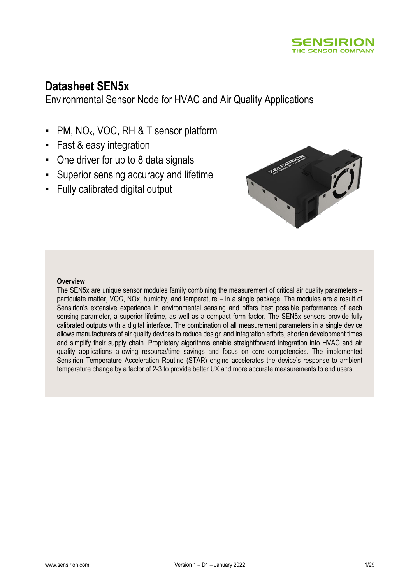

# **Datasheet SEN5x**

Environmental Sensor Node for HVAC and Air Quality Applications

- PM, NO<sub>x</sub>, VOC, RH & T sensor platform
- Fast & easy integration
- One driver for up to 8 data signals
- Superior sensing accuracy and lifetime
- Fully calibrated digital output



#### **Overview**

The SEN5x are unique sensor modules family combining the measurement of critical air quality parameters – particulate matter, VOC, NOx, humidity, and temperature – in a single package. The modules are a result of Sensirion's extensive experience in environmental sensing and offers best possible performance of each sensing parameter, a superior lifetime, as well as a compact form factor. The SEN5x sensors provide fully calibrated outputs with a digital interface. The combination of all measurement parameters in a single device allows manufacturers of air quality devices to reduce design and integration efforts, shorten development times and simplify their supply chain. Proprietary algorithms enable straightforward integration into HVAC and air quality applications allowing resource/time savings and focus on core competencies. The implemented Sensirion Temperature Acceleration Routine (STAR) engine accelerates the device's response to ambient temperature change by a factor of 2-3 to provide better UX and more accurate measurements to end users.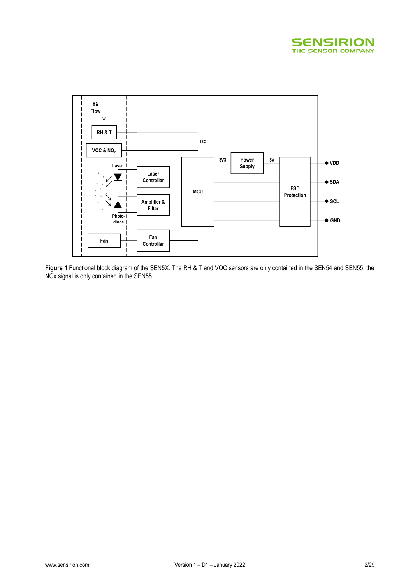



**Figure 1** Functional block diagram of the SEN5X. The RH & T and VOC sensors are only contained in the SEN54 and SEN55, the NOx signal is only contained in the SEN55.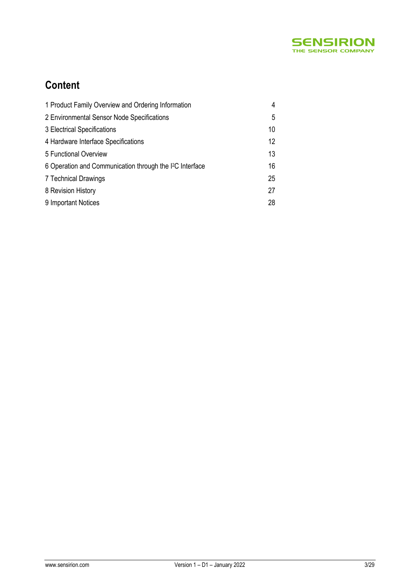

# **Content**

| 1 Product Family Overview and Ordering Information                   | 4  |
|----------------------------------------------------------------------|----|
| 2 Environmental Sensor Node Specifications                           | 5  |
| 3 Electrical Specifications                                          | 10 |
| 4 Hardware Interface Specifications                                  | 12 |
| 5 Functional Overview                                                | 13 |
| 6 Operation and Communication through the I <sup>2</sup> C Interface | 16 |
| 7 Technical Drawings                                                 | 25 |
| 8 Revision History                                                   | 27 |
| 9 Important Notices                                                  | 28 |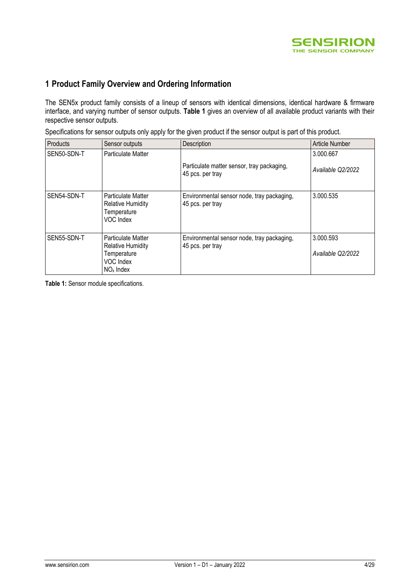

## **1 Product Family Overview and Ordering Information**

The SEN5x product family consists of a lineup of sensors with identical dimensions, identical hardware & firmware interface, and varying number of sensor outputs. **[Table 1](#page-3-0)** gives an overview of all available product variants with their respective sensor outputs.

Specifications for sensor outputs only apply for the given product if the sensor output is part of this product.

| Products    | Sensor outputs                                                                                   | Description                                                    | Article Number                 |
|-------------|--------------------------------------------------------------------------------------------------|----------------------------------------------------------------|--------------------------------|
| SEN50-SDN-T | Particulate Matter                                                                               | Particulate matter sensor, tray packaging,<br>45 pcs. per tray | 3.000.667<br>Available Q2/2022 |
| SEN54-SDN-T | Particulate Matter<br><b>Relative Humidity</b><br>Temperature<br>VOC Index                       | Environmental sensor node, tray packaging,<br>45 pcs. per tray | 3.000.535                      |
| SEN55-SDN-T | <b>Particulate Matter</b><br><b>Relative Humidity</b><br>Temperature<br>VOC Index<br>$NOx$ Index | Environmental sensor node, tray packaging,<br>45 pcs. per tray | 3.000.593<br>Available Q2/2022 |

<span id="page-3-0"></span>**Table 1:** Sensor module specifications.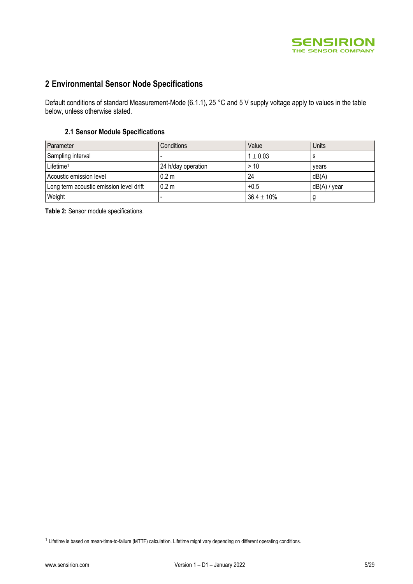

## **2 Environmental Sensor Node Specifications**

Default conditions of standard Measurement-Mode [\(6.1.1\)](#page-16-0), 25 °C and 5 V supply voltage apply to values in the table below, unless otherwise stated.

#### **2.1 Sensor Module Specifications**

| Parameter                               | Conditions         | Value           | Units        |
|-----------------------------------------|--------------------|-----------------|--------------|
| Sampling interval                       |                    | $1 \pm 0.03$    |              |
| Lifetime <sup>1</sup>                   | 24 h/day operation | > 10            | years        |
| Acoustic emission level                 | 0.2 <sub>m</sub>   | 24              | dB(A)        |
| Long term acoustic emission level drift | 0.2 <sub>m</sub>   | $+0.5$          | dB(A) / year |
| Weight                                  |                    | $36.4 \pm 10\%$ |              |

**Table 2:** Sensor module specifications.

<sup>1</sup> Lifetime is based on mean-time-to-failure (MTTF) calculation. Lifetime might vary depending on different operating conditions.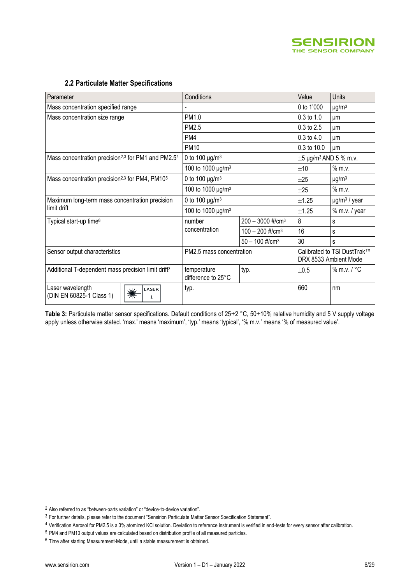

#### <span id="page-5-1"></span><span id="page-5-0"></span>**2.2 Particulate Matter Specifications**

| Parameter                                                                  | Conditions                        | Value                          | Units                                  |                                                      |
|----------------------------------------------------------------------------|-----------------------------------|--------------------------------|----------------------------------------|------------------------------------------------------|
| Mass concentration specified range                                         |                                   |                                | 0 to 1'000                             | $\mu$ g/m <sup>3</sup>                               |
| Mass concentration size range                                              | PM1.0                             |                                | 0.3 to 1.0                             | μm                                                   |
|                                                                            | PM <sub>2.5</sub>                 |                                | 0.3 to 2.5                             | um                                                   |
|                                                                            | PM4                               |                                | $0.3$ to $4.0$                         | um                                                   |
|                                                                            | <b>PM10</b>                       |                                | 0.3 to 10.0                            | μm                                                   |
| Mass concentration precision <sup>2,3</sup> for PM1 and PM2.5 <sup>4</sup> | 0 to 100 $\mu$ g/m <sup>3</sup>   |                                | $\pm 5$ µg/m <sup>3</sup> AND 5 % m.v. |                                                      |
|                                                                            | 100 to 1000 µg/m <sup>3</sup>     |                                | ±10                                    | $%$ m.v.                                             |
| Mass concentration precision <sup>2,3</sup> for PM4, PM10 <sup>5</sup>     | 0 to 100 $\mu$ g/m <sup>3</sup>   |                                | $\pm 25$                               | $\mu$ g/m <sup>3</sup>                               |
|                                                                            | 100 to 1000 µg/m <sup>3</sup>     |                                | ±25                                    | $%$ m.v.                                             |
| Maximum long-term mass concentration precision                             | 0 to 100 $\mu$ g/m <sup>3</sup>   |                                | ±1.25                                  | $\mu$ g/m <sup>3</sup> / year                        |
| limit drift                                                                | 100 to 1000 µg/m <sup>3</sup>     |                                | ±1.25                                  | % m.v. / year                                        |
| Typical start-up time <sup>6</sup>                                         | number                            | $200 - 3000$ #/cm <sup>3</sup> | 8                                      | s                                                    |
|                                                                            | concentration                     | $100 - 200$ #/cm <sup>3</sup>  | 16                                     | s                                                    |
|                                                                            |                                   | $50 - 100$ #/cm <sup>3</sup>   | 30                                     | s                                                    |
| Sensor output characteristics                                              | PM2.5 mass concentration          |                                |                                        | Calibrated to TSI DustTrak™<br>DRX 8533 Ambient Mode |
| Additional T-dependent mass precision limit drift <sup>3</sup>             | temperature<br>difference to 25°C | typ.                           | ±0.5                                   | $%$ m.v. $/$ °C                                      |
| Laser wavelength<br>LASER<br>☀<br>(DIN EN 60825-1 Class 1)<br>1            | typ.                              | 660                            |                                        | nm                                                   |

Table 3: Particulate matter sensor specifications. Default conditions of 25±2 °C, 50±10% relative humidity and 5 V supply voltage apply unless otherwise stated. 'max.' means 'maximum', 'typ.' means 'typical', '% m.v.' means '% of measured value'.

<sup>2</sup> Also referred to as "between-parts variation" or "device-to-device variation".

<sup>3</sup> For further details, please refer to the document "Sensirion Particulate Matter Sensor Specification Statement".

<sup>4</sup> Verification Aerosol for PM2.5 is a 3% atomized KCl solution. Deviation to reference instrument is verified in end-tests for every sensor after calibration.

<sup>5</sup> PM4 and PM10 output values are calculated based on distribution profile of all measured particles.

<sup>6</sup> Time after starting Measurement-Mode, until a stable measurement is obtained.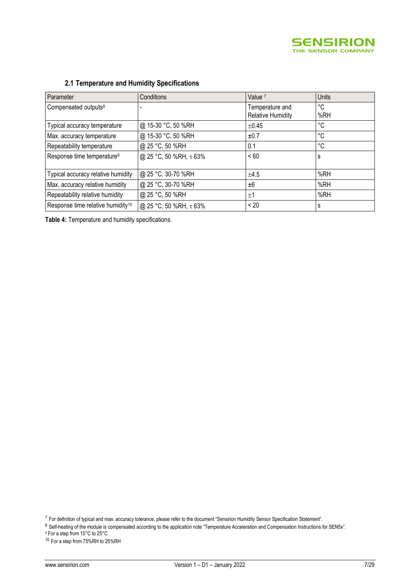

| Parameter                                     | Conditions             | Value <sup>7</sup>                          | Units     |
|-----------------------------------------------|------------------------|---------------------------------------------|-----------|
| Compensated outputs <sup>8</sup>              |                        | Temperature and<br><b>Relative Humidity</b> | °C<br>%RH |
| Typical accuracy temperature                  | @ 15-30 °C, 50 %RH     | $\pm 0.45$                                  | °C        |
| Max. accuracy temperature                     | @ 15-30 °C, 50 %RH     | ±0.7                                        | °C        |
| Repeatability temperature                     | @ 25 °C, 50 %RH        | 0.1                                         | °C        |
| Response time temperature <sup>9</sup>        | @ 25 °C, 50 %RH, τ 63% | < 60                                        | s         |
| Typical accuracy relative humidity            | @ 25 °C, 30-70 %RH     | ±4.5                                        | %RH       |
| Max. accuracy relative humidity               | @ 25 °C, 30-70 %RH     | ±6                                          | %RH       |
| Repeatability relative humidity               | @ 25 °C, 50 %RH        | ±1                                          | %RH       |
| Response time relative humidity <sup>10</sup> | @ 25 °C, 50 %RH, τ 63% | < 20                                        | s         |

## **2.1 Temperature and Humidity Specifications**

**Table 4:** Temperature and humidity specifications.

<sup>7</sup> For definition of typical and max. accuracy tolerance, please refer to the document "Sensirion Humidity Sensor Specification Statement".

<sup>8</sup> Self-heating of the module is compensated according to the application note "Temperature Acceleration and Compensation Instructions for SEN5x".

<sup>9</sup> For a step from 15°C to 25°C

<sup>10</sup> For a step from 75%RH to 25%RH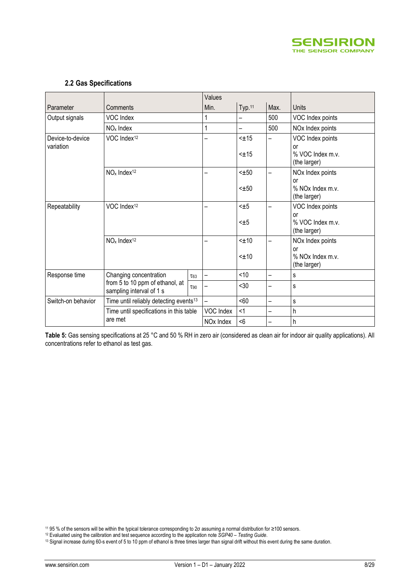

#### **2.2 Gas Specifications**

|                    |                                                             |             | Values                |            |                          |                                                    |
|--------------------|-------------------------------------------------------------|-------------|-----------------------|------------|--------------------------|----------------------------------------------------|
| Parameter          | Comments                                                    |             | Min.                  | Typ.11     | Max.                     | Units                                              |
| Output signals     | VOC Index                                                   |             | 1                     | —          | 500                      | VOC Index points                                   |
|                    | $NOx$ Index                                                 |             | 1                     | —          | 500                      | NO <sub>x</sub> Index points                       |
| Device-to-device   | VOC Index <sup>12</sup>                                     |             |                       | $< \pm 15$ | <u>.</u>                 | VOC Index points                                   |
| variation          |                                                             |             |                       | $< +15$    |                          | or<br>% VOC Index m.v.<br>(the larger)             |
|                    | $NOx$ Index <sup>12</sup>                                   |             |                       | $< \pm 50$ | $\overline{\phantom{0}}$ | NO <sub>x</sub> Index points                       |
|                    |                                                             |             |                       | $< \pm 50$ |                          | or<br>% NOx Index m.v.<br>(the larger)             |
| Repeatability      | VOC Index <sup>12</sup>                                     |             |                       | $< \pm 5$  | ÷                        | VOC Index points                                   |
|                    |                                                             |             |                       | $< \pm 5$  |                          | or<br>% VOC Index m.v.<br>(the larger)             |
|                    | $NOx$ Index <sup>12</sup>                                   |             |                       | $< \pm 10$ | ÷.                       | NO <sub>x</sub> Index points                       |
|                    |                                                             |             |                       | $< \pm 10$ |                          | or<br>% NO <sub>x</sub> Index m.v.<br>(the larger) |
| Response time      | Changing concentration                                      | $\tau_{63}$ | —                     | < 10       | —                        | S                                                  |
|                    | from 5 to 10 ppm of ethanol, at<br>sampling interval of 1 s | T90         |                       | $30$       |                          | S                                                  |
| Switch-on behavior | Time until reliably detecting events <sup>13</sup>          |             |                       | <60        | −                        | S                                                  |
|                    | Time until specifications in this table                     |             | VOC Index             | <1         | —                        | h                                                  |
|                    | are met                                                     |             | NO <sub>x</sub> Index | < 6        |                          | $\mathsf{h}$                                       |

**Table 5:** Gas sensing specifications at 25 °C and 50 % RH in zero air (considered as clean air for indoor air quality applications). All concentrations refer to ethanol as test gas.

<sup>11</sup> 95 % of the sensors will be within the typical tolerance corresponding to 2σ assuming a normal distribution for ≥100 sensors.

<sup>12</sup> Evaluated using the calibration and test sequence according to the application note *SGP40 – Testing Guide*.

<sup>&</sup>lt;sup>13</sup> Signal increase during 60-s event of 5 to 10 ppm of ethanol is three times larger than signal drift without this event during the same duration.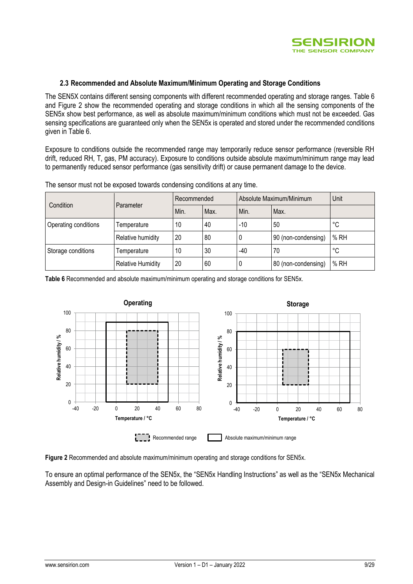

#### **2.3 Recommended and Absolute Maximum/Minimum Operating and Storage Conditions**

The SEN5X contains different sensing components with different recommended operating and storage ranges. [Table 6](#page-8-0) and [Figure 2](#page-8-1) show the recommended operating and storage conditions in which all the sensing components of the SEN5x show best performance, as well as absolute maximum/minimum conditions which must not be exceeded. Gas sensing specifications are guaranteed only when the SEN5x is operated and stored under the recommended conditions given in [Table 6.](#page-8-0)

Exposure to conditions outside the recommended range may temporarily reduce sensor performance (reversible RH drift, reduced RH, T, gas, PM accuracy). Exposure to conditions outside absolute maximum/minimum range may lead to permanently reduced sensor performance (gas sensitivity drift) or cause permanent damage to the device.

| Condition<br>Parameter |                          | Recommended |      | Absolute Maximum/Minimum | Unit                |      |
|------------------------|--------------------------|-------------|------|--------------------------|---------------------|------|
|                        |                          | Min.        | Max. | Min.                     | Max.                |      |
| Operating conditions   | Temperature              | 10          | 40   | $-10$                    | 50                  | °C   |
|                        | Relative humidity        | 20          | 80   | υ                        | 90 (non-condensing) | % RH |
| Storage conditions     | Temperature              | 10          | 30   | $-40$                    | 70                  | °C   |
|                        | <b>Relative Humidity</b> | 20          | 60   | U                        | 80 (non-condensing) | % RH |

The sensor must not be exposed towards condensing conditions at any time.

<span id="page-8-0"></span>**Table 6** Recommended and absolute maximum/minimum operating and storage conditions for SEN5x.



<span id="page-8-1"></span>**Figure 2** Recommended and absolute maximum/minimum operating and storage conditions for SEN5x.

To ensure an optimal performance of the SEN5x, the "SEN5x Handling Instructions" as well as the "SEN5x Mechanical Assembly and Design-in Guidelines" need to be followed.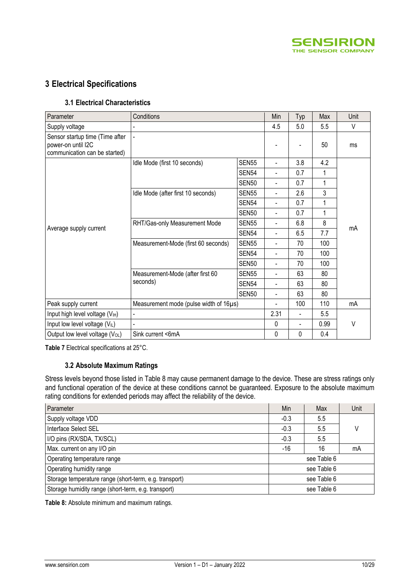

## **3 Electrical Specifications**

#### **3.1 Electrical Characteristics**

| Parameter                                                                              | Conditions                             | Min               | Typ                      | Max                      | Unit |    |
|----------------------------------------------------------------------------------------|----------------------------------------|-------------------|--------------------------|--------------------------|------|----|
| Supply voltage                                                                         |                                        |                   | 4.5                      | 5.0                      | 5.5  | V  |
| Sensor startup time (Time after<br>power-on until I2C<br>communication can be started) |                                        |                   |                          |                          | 50   | ms |
|                                                                                        | Idle Mode (first 10 seconds)           | <b>SEN55</b>      | $\overline{\phantom{a}}$ | 3.8                      | 4.2  |    |
|                                                                                        |                                        | SEN54             | $\overline{\phantom{a}}$ | 0.7                      | 1    |    |
|                                                                                        |                                        | <b>SEN50</b>      | $\blacksquare$           | 0.7                      | 1    |    |
|                                                                                        | Idle Mode (after first 10 seconds)     | <b>SEN55</b>      | $\blacksquare$           | 2.6                      | 3    |    |
|                                                                                        |                                        | SEN <sub>54</sub> | $\blacksquare$           | 0.7                      | 1    |    |
|                                                                                        |                                        | <b>SEN50</b>      | $\blacksquare$           | 0.7                      | 1    |    |
|                                                                                        | RHT/Gas-only Measurement Mode          | <b>SEN55</b>      | $\blacksquare$           | 6.8                      | 8    |    |
| Average supply current                                                                 |                                        | SEN54             | $\overline{\phantom{a}}$ | 6.5                      | 7.7  | mA |
|                                                                                        | Measurement-Mode (first 60 seconds)    | <b>SEN55</b>      |                          | 70                       | 100  |    |
|                                                                                        |                                        | SEN54             | $\blacksquare$           | 70                       | 100  |    |
|                                                                                        |                                        | SEN50             | $\overline{\phantom{a}}$ | 70                       | 100  |    |
|                                                                                        | Measurement-Mode (after first 60       | <b>SEN55</b>      | $\blacksquare$           | 63                       | 80   |    |
|                                                                                        | seconds)                               | SEN54             | $\blacksquare$           | 63                       | 80   |    |
|                                                                                        |                                        | <b>SEN50</b>      | $\overline{\phantom{a}}$ | 63                       | 80   |    |
| Peak supply current                                                                    | Measurement mode (pulse width of 16µs) |                   |                          | 100                      | 110  | mA |
| Input high level voltage (V <sub>IH</sub> )                                            |                                        |                   | 2.31                     | $\overline{\phantom{0}}$ | 5.5  |    |
| Input low level voltage $(VIL)$                                                        | $\blacksquare$                         |                   | 0                        | $\overline{\phantom{a}}$ | 0.99 | V  |
| Output low level voltage (V <sub>OL</sub> )                                            | Sink current <6mA                      |                   | 0                        | 0                        | 0.4  |    |

**Table 7** Electrical specifications at 25°C.

#### **3.2 Absolute Maximum Ratings**

Stress levels beyond those listed i[n Table 8](#page-9-0) may cause permanent damage to the device. These are stress ratings only and functional operation of the device at these conditions cannot be guaranteed. Exposure to the absolute maximum rating conditions for extended periods may affect the reliability of the device.

| Parameter                                              | Min               | Max | Unit |
|--------------------------------------------------------|-------------------|-----|------|
| Supply voltage VDD                                     | $-0.3$            | 5.5 |      |
| Interface Select SEL                                   | $-0.3$            | 5.5 |      |
| I/O pins (RX/SDA, TX/SCL)                              | $-0.3$            | 5.5 |      |
| Max. current on any I/O pin                            | $-16$<br>16<br>mA |     |      |
| Operating temperature range                            | see Table 6       |     |      |
| Operating humidity range                               | see Table 6       |     |      |
| Storage temperature range (short-term, e.g. transport) | see Table 6       |     |      |
| Storage humidity range (short-term, e.g. transport)    | see Table 6       |     |      |

<span id="page-9-0"></span>**Table 8:** Absolute minimum and maximum ratings.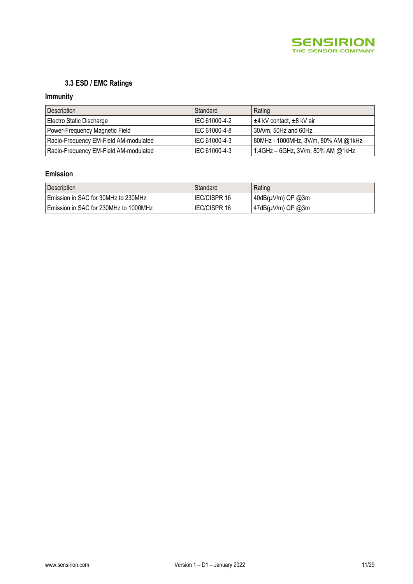

## **3.3 ESD / EMC Ratings**

## **Immunity**

| Description                           | Standard      | Rating                              |
|---------------------------------------|---------------|-------------------------------------|
| Electro Static Discharge              | IEC 61000-4-2 | $\pm$ 4 kV contact, $\pm$ 8 kV air  |
| Power-Frequency Magnetic Field        | IEC 61000-4-8 | 30A/m, 50Hz and 60Hz                |
| Radio-Frequency EM-Field AM-modulated | IEC 61000-4-3 | 80MHz - 1000MHz, 3V/m, 80% AM @1kHz |
| Radio-Frequency EM-Field AM-modulated | IEC 61000-4-3 | 1.4GHz - 6GHz, 3V/m, 80% AM @1kHz   |

## **Emission**

| Description                             | Standard            | Rating                  |
|-----------------------------------------|---------------------|-------------------------|
| l Emission in SAC for 30MHz to 230MHz   | <b>IEC/CISPR 16</b> | $ 40dB(\mu V/m)$ QP @3m |
| l Emission in SAC for 230MHz to 1000MHz | <b>IEC/CISPR 16</b> | $ 47dB(\mu V/m)$ QP @3m |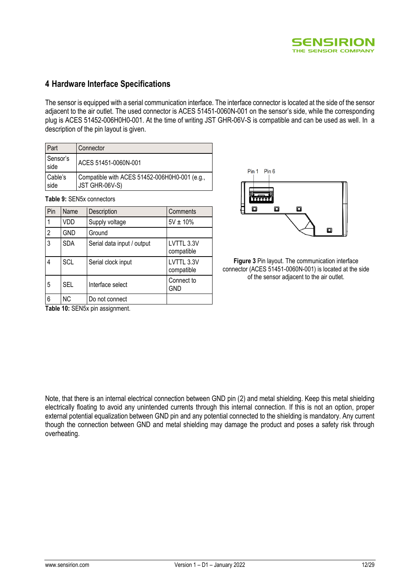

## **4 Hardware Interface Specifications**

The sensor is equipped with a serial communication interface. The interface connector is located at the side of the sensor adjacent to the air outlet. The used connector is ACES 51451-0060N-001 on the sensor's side, while the corresponding plug is ACES 51452-006H0H0-001. At the time of writing JST GHR-06V-S is compatible and can be used as well. In a description of the pin layout is given.

| Part             | Connector                                                       |
|------------------|-----------------------------------------------------------------|
| Sensor's<br>side | ACES 51451-0060N-001                                            |
| Cable's<br>side  | Compatible with ACES 51452-006H0H0-001 (e.g.,<br>JST GHR-06V-S) |

**Table 9:** SEN5x connectors

| Pin            | Name       | Description                | Comments                 |  |
|----------------|------------|----------------------------|--------------------------|--|
|                | VDD        | Supply voltage             | $5V \pm 10\%$            |  |
| $\overline{2}$ | <b>GND</b> | Ground                     |                          |  |
| 3              | <b>SDA</b> | Serial data input / output | LVTTL 3.3V<br>compatible |  |
| 4              | <b>SCL</b> | Serial clock input         | LVTTL 3.3V<br>compatible |  |
| 5              | <b>SEL</b> | Interface select           | Connect to<br><b>GND</b> |  |
| 6              | ΝC         | Do not connect             |                          |  |



**Figure 3** Pin layout. The communication interface connector (ACES 51451-0060N-001) is located at the side of the sensor adjacent to the air outlet.

**Table 10:** SEN5x pin assignment.

Note, that there is an internal electrical connection between GND pin (2) and metal shielding. Keep this metal shielding electrically floating to avoid any unintended currents through this internal connection. If this is not an option, proper external potential equalization between GND pin and any potential connected to the shielding is mandatory. Any current though the connection between GND and metal shielding may damage the product and poses a safety risk through overheating.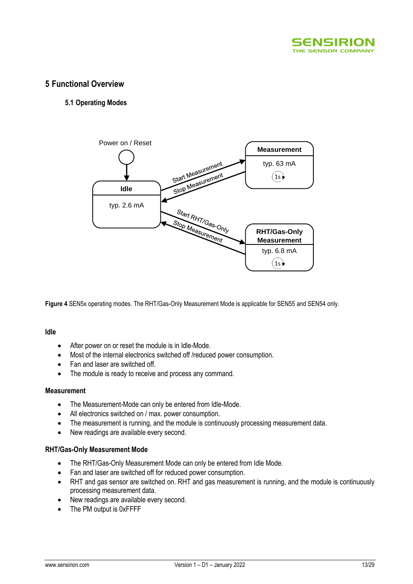

### **5 Functional Overview**

#### **5.1 Operating Modes**



**Figure 4** SEN5x operating modes. The RHT/Gas-Only Measurement Mode is applicable for SEN55 and SEN54 only.

#### **Idle**

- After power on or reset the module is in Idle-Mode.
- Most of the internal electronics switched off /reduced power consumption.
- Fan and laser are switched off.
- The module is ready to receive and process any command.

#### **Measurement**

- The Measurement-Mode can only be entered from Idle-Mode.
- All electronics switched on / max. power consumption.
- The measurement is running, and the module is continuously processing measurement data.
- New readings are available every second.

#### **RHT/Gas-Only Measurement Mode**

- The RHT/Gas-Only Measurement Mode can only be entered from Idle Mode.
- Fan and laser are switched off for reduced power consumption.
- RHT and gas sensor are switched on. RHT and gas measurement is running, and the module is continuously processing measurement data.
- New readings are available every second.
- The PM output is 0xFFFF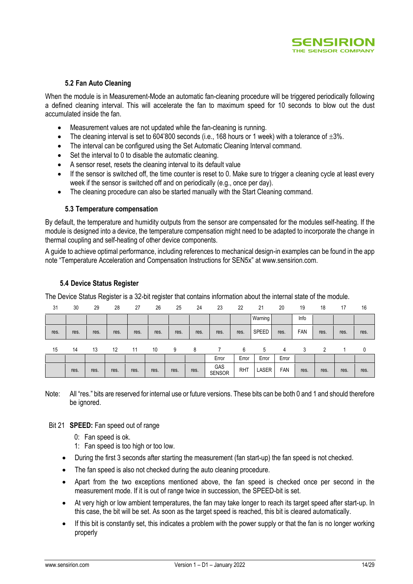

#### **5.2 Fan Auto Cleaning**

<span id="page-13-0"></span>When the module is in Measurement-Mode an automatic fan-cleaning procedure will be triggered periodically following a defined cleaning interval. This will accelerate the fan to maximum speed for 10 seconds to blow out the dust accumulated inside the fan.

- Measurement values are not updated while the fan-cleaning is running.
- The cleaning interval is set to 604'800 seconds (i.e., 168 hours or 1 week) with a tolerance of  $\pm 3\%$ .
- The interval can be configured using the Set Automatic Cleaning Interval command.
- Set the interval to 0 to disable the automatic cleaning.
- A sensor reset, resets the cleaning interval to its default value
- If the sensor is switched off, the time counter is reset to 0. Make sure to trigger a cleaning cycle at least every week if the sensor is switched off and on periodically (e.g., once per day).
- The cleaning procedure can also be started manually with the Start Cleaning command.

#### **5.3 Temperature compensation**

By default, the temperature and humidity outputs from the sensor are compensated for the modules self-heating. If the module is designed into a device, the temperature compensation might need to be adapted to incorporate the change in thermal coupling and self-heating of other device components.

A guide to achieve optimal performance, including references to mechanical design-in examples can be found in the app note "Temperature Acceleration and Compensation Instructions for SEN5x" at [www.sensirion.com.](http://www.sensirion.com/)

#### <span id="page-13-1"></span>**5.4 Device Status Register**

The Device Status Register is a 32-bit register that contains information about the internal state of the module.

| 31   | 30   | 29   | 28   | 27   | 26   | 25   | 24   | 23                   | 22         | 21           | 20    | 19   | 18   | 17   | 16   |
|------|------|------|------|------|------|------|------|----------------------|------------|--------------|-------|------|------|------|------|
|      |      |      |      |      |      |      |      |                      |            | Warning      |       | Info |      |      |      |
| res. | res. | res. | res. | res. | res. | res. | res. | res.                 | res.       | <b>SPEED</b> | res.  | FAN  | res. | res. | res. |
| 15   | 14   | 13   | 12   | 11   | 10   | 9    | 8    |                      | 6          | 5            | 4     | 3    | 2    |      | 0    |
|      |      |      |      |      |      |      |      | Error                | Error      | Error        | Error |      |      |      |      |
|      | res. | res. | res. | res. | res. | res. | res. | GAS<br><b>SENSOR</b> | <b>RHT</b> | LASER        | FAN   | res. | res. | res. | res. |

Note: All "res." bits are reserved for internal use or future versions. These bits can be both 0 and 1 and should therefore be ignored.

#### Bit 21 **SPEED:** Fan speed out of range

- 0: Fan speed is ok.
- 1: Fan speed is too high or too low.
- During the first 3 seconds after starting the measurement (fan start-up) the fan speed is not checked.
- The fan speed is also not checked during the auto cleaning procedure.
- Apart from the two exceptions mentioned above, the fan speed is checked once per second in the measurement mode. If it is out of range twice in succession, the SPEED-bit is set.
- At very high or low ambient temperatures, the fan may take longer to reach its target speed after start-up. In this case, the bit will be set. As soon as the target speed is reached, this bit is cleared automatically.
- If this bit is constantly set, this indicates a problem with the power supply or that the fan is no longer working properly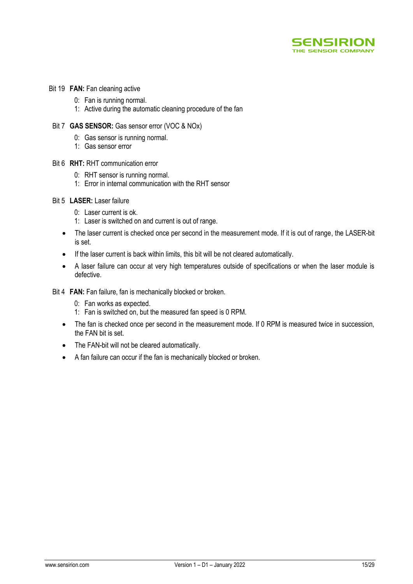

- Bit 19 **FAN:** Fan cleaning active
	- 0: Fan is running normal.
	- 1: Active during the automatic cleaning procedure of the fan
	- Bit 7 **GAS SENSOR:** Gas sensor error (VOC & NOx)
		- 0: Gas sensor is running normal.
		- 1: Gas sensor error
	- Bit 6 **RHT:** RHT communication error
		- 0: RHT sensor is running normal.
		- 1: Error in internal communication with the RHT sensor
- Bit 5 **LASER:** Laser failure
	- 0: Laser current is ok.
	- 1: Laser is switched on and current is out of range.
	- The laser current is checked once per second in the measurement mode. If it is out of range, the LASER-bit is set.
	- If the laser current is back within limits, this bit will be not cleared automatically.
	- A laser failure can occur at very high temperatures outside of specifications or when the laser module is defective.
- Bit 4 **FAN:** Fan failure, fan is mechanically blocked or broken.
	- 0: Fan works as expected.
	- 1: Fan is switched on, but the measured fan speed is 0 RPM.
	- The fan is checked once per second in the measurement mode. If 0 RPM is measured twice in succession, the FAN bit is set.
	- The FAN-bit will not be cleared automatically.
	- A fan failure can occur if the fan is mechanically blocked or broken.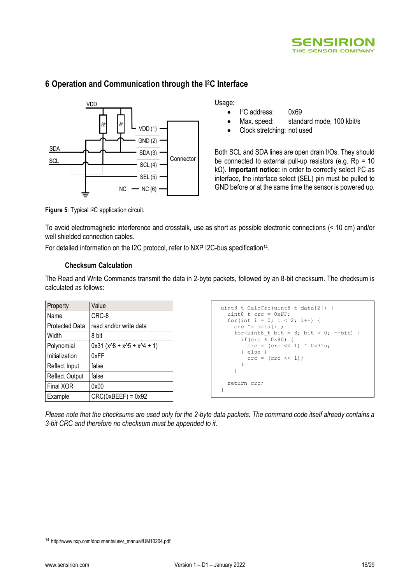



## **6 Operation and Communication through the I2C Interface**

Usage:

- $\bullet$ <sup>2</sup>C address: 0x69
- Max. speed: standard mode, 100 kbit/s
- Clock stretching: not used

Both SCL and SDA lines are open drain I/Os. They should be connected to external pull-up resistors (e.g.  $Rp = 10$ ) kΩ). **Important notice:** in order to correctly select I2C as interface, the interface select (SEL) pin must be pulled to GND before or at the same time the sensor is powered up.

**Figure 5: Typical I<sup>2</sup>C application circuit.** 

To avoid electromagnetic interference and crosstalk, use as short as possible electronic connections (< 10 cm) and/or well shielded connection cables.

For detailed information on the I2C protocol, refer to NXP I2C-bus specification<sup>14</sup>.

#### **Checksum Calculation**

The Read and Write Commands transmit the data in 2-byte packets, followed by an 8-bit checksum. The checksum is calculated as follows:

| Property              | Value                        |
|-----------------------|------------------------------|
| Name                  | CRC-8                        |
| <b>Protected Data</b> | read and/or write data       |
| Width                 | 8 bit                        |
| Polynomial            | $0x31 (x^8 + x^5 + x^4 + 1)$ |
| Initialization        | 0xFF                         |
| Reflect Input         | false                        |
| <b>Reflect Output</b> | false                        |
| Final XOR             | 0x00                         |
| Example               | $CRC(0xBEEF) = 0x92$         |

```
uint8 t CalcCrc(uint8 t data[2]) {
  uint8 t crc = 0xFF;
  for (int i = 0; i < 2; i++) {
     crc ^= data[i];
     for(uint8 t bit = 8; bit > 0; --bit) {
       if(crc \bar{\&} 0x80) {
         \text{circ} = (\text{circ} \ll 1) \land 0x31u; } else {
          \text{crc} = (\text{crc} << 1); }
      }
 }
   return crc;
}
```
*Please note that the checksums are used only for the 2-byte data packets. The command code itself already contains a 3-bit CRC and therefore no checksum must be appended to it.*

<sup>14</sup> [http://www.nxp.com/documents/user\\_manual/UM10204.pdf](http://www.nxp.com/documents/user_manual/UM10204.pdf)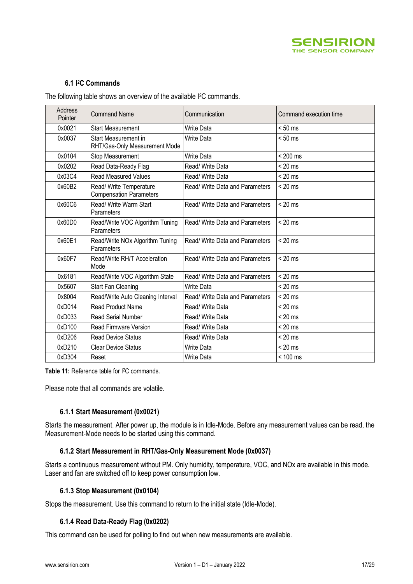

#### **6.1 I <sup>2</sup>C Commands**

The following table shows an overview of the available I<sup>2</sup>C commands.

| Address<br>Pointer | <b>Command Name</b>                                       | Communication                   | Command execution time |
|--------------------|-----------------------------------------------------------|---------------------------------|------------------------|
| 0x0021             | <b>Start Measurement</b>                                  | <b>Write Data</b>               | $< 50$ ms              |
| 0x0037             | Start Measurement in<br>RHT/Gas-Only Measurement Mode     | <b>Write Data</b>               | $< 50$ ms              |
| 0x0104             | Stop Measurement                                          | Write Data                      | $< 200$ ms             |
| 0x0202             | Read Data-Ready Flag                                      | Read/ Write Data                | $< 20$ ms              |
| 0x03C4             | <b>Read Measured Values</b>                               | Read/ Write Data                | $< 20$ ms              |
| 0x60B2             | Read/ Write Temperature<br><b>Compensation Parameters</b> | Read/ Write Data and Parameters | $< 20$ ms              |
| 0x60C6             | Read/ Write Warm Start<br>Parameters                      | Read/ Write Data and Parameters | $< 20$ ms              |
| 0x60D0             | Read/Write VOC Algorithm Tuning<br>Parameters             | Read/ Write Data and Parameters | $< 20$ ms              |
| 0x60E1             | Read/Write NOx Algorithm Tuning<br>Parameters             | Read/ Write Data and Parameters | $< 20$ ms              |
| 0x60F7             | Read/Write RH/T Acceleration<br>Mode                      | Read/ Write Data and Parameters | $< 20$ ms              |
| 0x6181             | Read/Write VOC Algorithm State                            | Read/ Write Data and Parameters | $< 20$ ms              |
| 0x5607             | Start Fan Cleaning                                        | <b>Write Data</b>               | $< 20$ ms              |
| 0x8004             | Read/Write Auto Cleaning Interval                         | Read/ Write Data and Parameters | $< 20$ ms              |
| 0xD014             | <b>Read Product Name</b>                                  | Read/ Write Data                | $< 20$ ms              |
| 0xD033             | <b>Read Serial Number</b>                                 | Read/ Write Data                | $< 20$ ms              |
| 0xD100             | <b>Read Firmware Version</b>                              | Read/ Write Data                | $< 20$ ms              |
| 0xD206             | <b>Read Device Status</b>                                 | Read/ Write Data                | $< 20$ ms              |
| 0xD210             | <b>Clear Device Status</b>                                | Write Data                      | $< 20$ ms              |
| 0xD304             | Reset                                                     | Write Data                      | < 100 ms               |

**Table 11:** Reference table for I2C commands.

Please note that all commands are volatile.

#### **6.1.1 Start Measurement (0x0021)**

<span id="page-16-0"></span>Starts the measurement. After power up, the module is in Idle-Mode. Before any measurement values can be read, the Measurement-Mode needs to be started using this command.

#### **6.1.2 Start Measurement in RHT/Gas-Only Measurement Mode (0x0037)**

Starts a continuous measurement without PM. Only humidity, temperature, VOC, and NOx are available in this mode. Laser and fan are switched off to keep power consumption low.

#### **6.1.3 Stop Measurement (0x0104)**

Stops the measurement. Use this command to return to the initial state (Idle-Mode).

#### **6.1.4 Read Data-Ready Flag (0x0202)**

This command can be used for polling to find out when new measurements are available.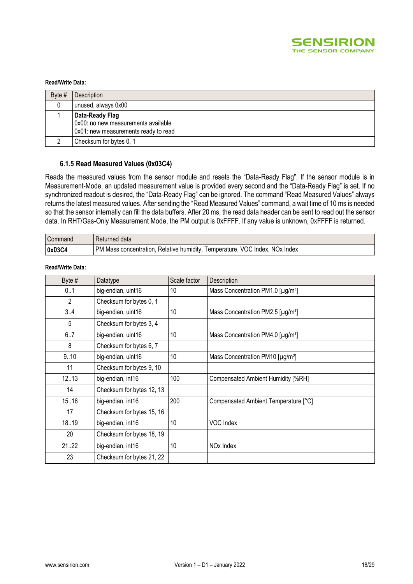

#### **Read/Write Data:**

| Byte $#$ | Description                                                                                    |
|----------|------------------------------------------------------------------------------------------------|
|          | unused, always 0x00                                                                            |
|          | Data-Ready Flag<br>0x00: no new measurements available<br>0x01: new measurements ready to read |
|          | Checksum for bytes 0, 1                                                                        |

#### **6.1.5 Read Measured Values (0x03C4)**

Reads the measured values from the sensor module and resets the "Data-Ready Flag". If the sensor module is in Measurement-Mode, an updated measurement value is provided every second and the "Data-Ready Flag" is set. If no synchronized readout is desired, the "Data-Ready Flag" can be ignored. The command "Read Measured Values" always returns the latest measured values. After sending the "Read Measured Values" command, a wait time of 10 ms is needed so that the sensor internally can fill the data buffers. After 20 ms, the read data header can be sent to read out the sensor data. In RHT/Gas-Only Measurement Mode, the PM output is 0xFFFF. If any value is unknown, 0xFFFF is returned.

| Command        | l Returned data                                                             |
|----------------|-----------------------------------------------------------------------------|
| $\vert$ 0x03C4 | M. Mass concentration, Relative humidity, Temperature, VOC Index, NOx Index |

#### **Read/Write Data:**

| Byte #       | Datatype                  | Scale factor | Description                                   |
|--------------|---------------------------|--------------|-----------------------------------------------|
| 0.1          | big-endian, uint16        | 10           | Mass Concentration PM1.0 [µg/m <sup>3</sup> ] |
| $\mathbf{2}$ | Checksum for bytes 0, 1   |              |                                               |
| 3.4          | big-endian, uint16        | 10           | Mass Concentration PM2.5 [µg/m <sup>3</sup> ] |
| 5            | Checksum for bytes 3, 4   |              |                                               |
| 6.7          | big-endian, uint16        | 10           | Mass Concentration PM4.0 [µg/m <sup>3</sup> ] |
| 8            | Checksum for bytes 6, 7   |              |                                               |
| 9.10         | big-endian, uint16        | 10           | Mass Concentration PM10 [µg/m <sup>3</sup> ]  |
| 11           | Checksum for bytes 9, 10  |              |                                               |
| 12.13        | big-endian, int16         | 100          | Compensated Ambient Humidity [%RH]            |
| 14           | Checksum for bytes 12, 13 |              |                                               |
| 15.16        | big-endian, int16         | 200          | Compensated Ambient Temperature [°C]          |
| 17           | Checksum for bytes 15, 16 |              |                                               |
| 18.19        | big-endian, int16         | 10           | VOC Index                                     |
| 20           | Checksum for bytes 18, 19 |              |                                               |
| 2122         | big-endian, int16         | 10           | NO <sub>x</sub> Index                         |
| 23           | Checksum for bytes 21, 22 |              |                                               |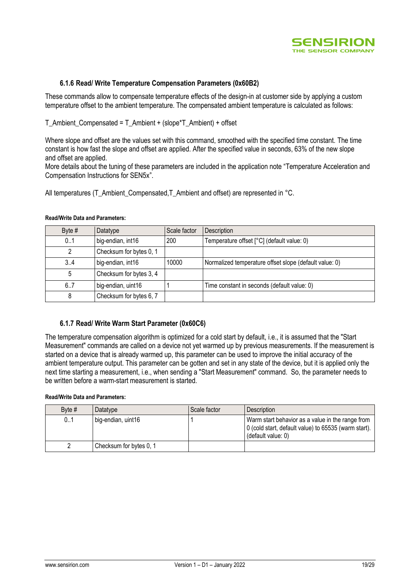

#### **6.1.6 Read/ Write Temperature Compensation Parameters (0x60B2)**

These commands allow to compensate temperature effects of the design-in at customer side by applying a custom temperature offset to the ambient temperature. The compensated ambient temperature is calculated as follows:

T\_Ambient\_Compensated = T\_Ambient + (slope\*T\_Ambient) + offset

Where slope and offset are the values set with this command, smoothed with the specified time constant. The time constant is how fast the slope and offset are applied. After the specified value in seconds, 63% of the new slope and offset are applied.

More details about the tuning of these parameters are included in the application note "Temperature Acceleration and Compensation Instructions for SEN5x".

All temperatures (T\_Ambient\_Compensated,T\_Ambient and offset) are represented in °C.

| Byte $#$ | Datatype                | Scale factor | Description                                            |
|----------|-------------------------|--------------|--------------------------------------------------------|
| 01       | big-endian, int16       | 200          | Temperature offset [°C] (default value: 0)             |
|          | Checksum for bytes 0, 1 |              |                                                        |
| 3.A      | big-endian, int16       | 10000        | Normalized temperature offset slope (default value: 0) |
| 5        | Checksum for bytes 3, 4 |              |                                                        |
| 6.7      | big-endian, uint16      |              | Time constant in seconds (default value: 0)            |
|          | Checksum for bytes 6, 7 |              |                                                        |

#### **Read/Write Data and Parameters:**

#### **6.1.7 Read/ Write Warm Start Parameter (0x60C6)**

The temperature compensation algorithm is optimized for a cold start by default, i.e., it is assumed that the "Start Measurement" commands are called on a device not yet warmed up by previous measurements. If the measurement is started on a device that is already warmed up, this parameter can be used to improve the initial accuracy of the ambient temperature output. This parameter can be gotten and set in any state of the device, but it is applied only the next time starting a measurement, i.e., when sending a "Start Measurement" command. So, the parameter needs to be written before a warm-start measurement is started.

#### **Read/Write Data and Parameters:**

| Byte $#$ | Datatype                | Scale factor | Description                                                                                                                    |
|----------|-------------------------|--------------|--------------------------------------------------------------------------------------------------------------------------------|
| 0.1      | big-endian, uint16      |              | Warm start behavior as a value in the range from<br>0 (cold start, default value) to 65535 (warm start).<br>(default value: 0) |
|          | Checksum for bytes 0, 1 |              |                                                                                                                                |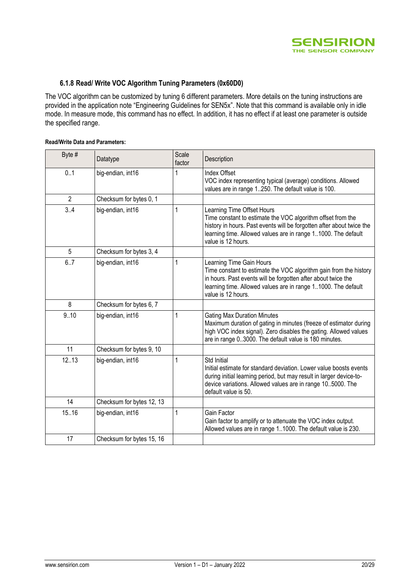

#### **6.1.8 Read/ Write VOC Algorithm Tuning Parameters (0x60D0)**

The VOC algorithm can be customized by tuning 6 different parameters. More details on the tuning instructions are provided in the application note "Engineering Guidelines for SEN5x". Note that this command is available only in idle mode. In measure mode, this command has no effect. In addition, it has no effect if at least one parameter is outside the specified range.

#### **Read/Write Data and Parameters:**

| Byte #         | Datatype                  | Scale<br>factor | Description                                                                                                                                                                                                                                               |
|----------------|---------------------------|-----------------|-----------------------------------------------------------------------------------------------------------------------------------------------------------------------------------------------------------------------------------------------------------|
| 0.1            | big-endian, int16         | 1               | Index Offset<br>VOC index representing typical (average) conditions. Allowed<br>values are in range 1250. The default value is 100.                                                                                                                       |
| $\overline{2}$ | Checksum for bytes 0, 1   |                 |                                                                                                                                                                                                                                                           |
| 3.4            | big-endian, int16         | 1               | Learning Time Offset Hours<br>Time constant to estimate the VOC algorithm offset from the<br>history in hours. Past events will be forgotten after about twice the<br>learning time. Allowed values are in range 11000. The default<br>value is 12 hours. |
| 5              | Checksum for bytes 3, 4   |                 |                                                                                                                                                                                                                                                           |
| 6.7            | big-endian, int16         | 1               | Learning Time Gain Hours<br>Time constant to estimate the VOC algorithm gain from the history<br>in hours. Past events will be forgotten after about twice the<br>learning time. Allowed values are in range 11000. The default<br>value is 12 hours.     |
| 8              | Checksum for bytes 6, 7   |                 |                                                                                                                                                                                                                                                           |
| 9.10           | big-endian, int16         | 1               | <b>Gating Max Duration Minutes</b><br>Maximum duration of gating in minutes (freeze of estimator during<br>high VOC index signal). Zero disables the gating. Allowed values<br>are in range 03000. The default value is 180 minutes.                      |
| 11             | Checksum for bytes 9, 10  |                 |                                                                                                                                                                                                                                                           |
| 12.13          | big-endian, int16         | 1               | Std Initial<br>Initial estimate for standard deviation. Lower value boosts events<br>during initial learning period, but may result in larger device-to-<br>device variations. Allowed values are in range 105000. The<br>default value is 50.            |
| 14             | Checksum for bytes 12, 13 |                 |                                                                                                                                                                                                                                                           |
| 15.16          | big-endian, int16         | 1               | Gain Factor<br>Gain factor to amplify or to attenuate the VOC index output.<br>Allowed values are in range 11000. The default value is 230.                                                                                                               |
| 17             | Checksum for bytes 15, 16 |                 |                                                                                                                                                                                                                                                           |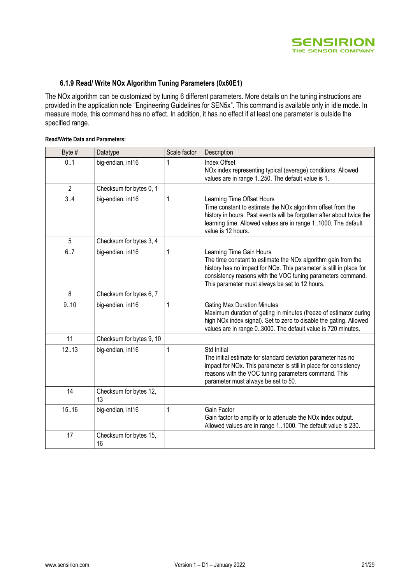

#### **6.1.9 Read/ Write NOx Algorithm Tuning Parameters (0x60E1)**

The NOx algorithm can be customized by tuning 6 different parameters. More details on the tuning instructions are provided in the application note "Engineering Guidelines for SEN5x". This command is available only in idle mode. In measure mode, this command has no effect. In addition, it has no effect if at least one parameter is outside the specified range.

#### **Read/Write Data and Parameters:**

| Byte #         | Datatype                     | Scale factor | Description                                                                                                                                                                                                                                                                                   |
|----------------|------------------------------|--------------|-----------------------------------------------------------------------------------------------------------------------------------------------------------------------------------------------------------------------------------------------------------------------------------------------|
| 0.1            | big-endian, int16            |              | <b>Index Offset</b><br>NOx index representing typical (average) conditions. Allowed<br>values are in range 1250. The default value is 1.                                                                                                                                                      |
| $\overline{2}$ | Checksum for bytes 0, 1      |              |                                                                                                                                                                                                                                                                                               |
| 3.4            | big-endian, int16            | 1            | Learning Time Offset Hours<br>Time constant to estimate the NOx algorithm offset from the<br>history in hours. Past events will be forgotten after about twice the<br>learning time. Allowed values are in range 11000. The default<br>value is 12 hours.                                     |
| 5              | Checksum for bytes 3, 4      |              |                                                                                                                                                                                                                                                                                               |
| 6.7            | big-endian, int16            | 1            | Learning Time Gain Hours<br>The time constant to estimate the NO <sub>x</sub> algorithm gain from the<br>history has no impact for NOx. This parameter is still in place for<br>consistency reasons with the VOC tuning parameters command.<br>This parameter must always be set to 12 hours. |
| 8              | Checksum for bytes 6, 7      |              |                                                                                                                                                                                                                                                                                               |
| 9.10           | big-endian, int16            | 1            | <b>Gating Max Duration Minutes</b><br>Maximum duration of gating in minutes (freeze of estimator during<br>high NOx index signal). Set to zero to disable the gating. Allowed<br>values are in range 03000. The default value is 720 minutes.                                                 |
| 11             | Checksum for bytes 9, 10     |              |                                                                                                                                                                                                                                                                                               |
| 12.13          | big-endian, int16            | 1            | Std Initial<br>The initial estimate for standard deviation parameter has no<br>impact for NOx. This parameter is still in place for consistency<br>reasons with the VOC tuning parameters command. This<br>parameter must always be set to 50.                                                |
| 14             | Checksum for bytes 12,<br>13 |              |                                                                                                                                                                                                                                                                                               |
| 15.16          | big-endian, int16            | 1            | Gain Factor<br>Gain factor to amplify or to attenuate the NO <sub>x</sub> index output.<br>Allowed values are in range 11000. The default value is 230.                                                                                                                                       |
| 17             | Checksum for bytes 15,<br>16 |              |                                                                                                                                                                                                                                                                                               |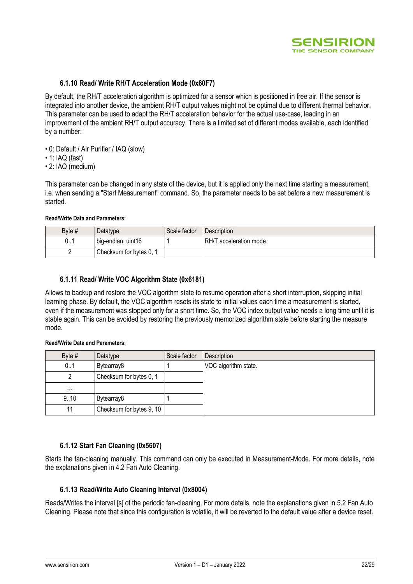

#### **6.1.10 Read/ Write RH/T Acceleration Mode (0x60F7)**

By default, the RH/T acceleration algorithm is optimized for a sensor which is positioned in free air. If the sensor is integrated into another device, the ambient RH/T output values might not be optimal due to different thermal behavior. This parameter can be used to adapt the RH/T acceleration behavior for the actual use-case, leading in an improvement of the ambient RH/T output accuracy. There is a limited set of different modes available, each identified by a number:

- 0: Default / Air Purifier / IAQ (slow)
- 1: IAQ (fast)
- 2: IAQ (medium)

This parameter can be changed in any state of the device, but it is applied only the next time starting a measurement, i.e. when sending a "Start Measurement" command. So, the parameter needs to be set before a new measurement is started.

#### **Read/Write Data and Parameters:**

| Byte # | Datatype                | Scale factor | <b>Description</b>      |
|--------|-------------------------|--------------|-------------------------|
| 0.1    | big-endian, uint16      |              | RH/T acceleration mode. |
|        | Checksum for bytes 0, 1 |              |                         |

#### **6.1.11 Read/ Write VOC Algorithm State (0x6181)**

Allows to backup and restore the VOC algorithm state to resume operation after a short interruption, skipping initial learning phase. By default, the VOC algorithm resets its state to initial values each time a measurement is started, even if the measurement was stopped only for a short time. So, the VOC index output value needs a long time until it is stable again. This can be avoided by restoring the previously memorized algorithm state before starting the measure mode.

#### **Read/Write Data and Parameters:**

| Byte $#$ | Datatype                 | Scale factor | Description          |
|----------|--------------------------|--------------|----------------------|
| 0.1      | Bytearray8               |              | VOC algorithm state. |
|          | Checksum for bytes 0, 1  |              |                      |
| $\cdots$ |                          |              |                      |
| 9.10     | Bytearray8               |              |                      |
|          | Checksum for bytes 9, 10 |              |                      |

#### **6.1.12 Start Fan Cleaning (0x5607)**

Starts the fan-cleaning manually. This command can only be executed in Measurement-Mode. For more details, note the explanations given in 4.2 Fan Auto Cleaning.

#### **6.1.13 Read/Write Auto Cleaning Interval (0x8004)**

Reads/Writes the interval [s] of the periodic fan-cleaning. For more details, note the explanations given in [5.2](#page-13-0) [Fan Auto](#page-13-0)  [Cleaning.](#page-13-0) Please note that since this configuration is volatile, it will be reverted to the default value after a device reset.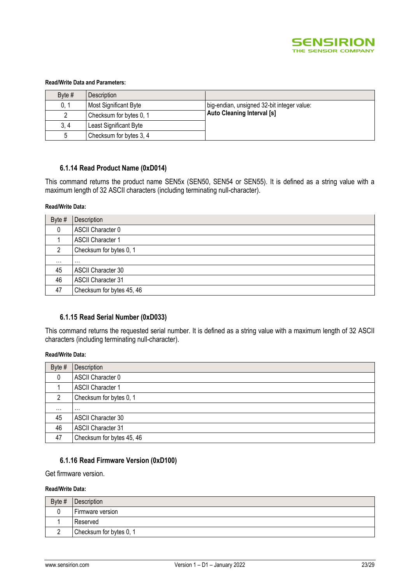

#### **Read/Write Data and Parameters:**

| Byte $#$ | <b>Description</b>      |                                            |
|----------|-------------------------|--------------------------------------------|
| 0, 1     | Most Significant Byte   | big-endian, unsigned 32-bit integer value: |
|          | Checksum for bytes 0, 1 | <b>Auto Cleaning Interval [s]</b>          |
| 3, 4     | Least Significant Byte  |                                            |
| .5       | Checksum for bytes 3, 4 |                                            |

#### **6.1.14 Read Product Name (0xD014)**

This command returns the product name SEN5x (SEN50, SEN54 or SEN55). It is defined as a string value with a maximum length of 32 ASCII characters (including terminating null-character).

#### **Read/Write Data:**

| Byte #   | Description               |
|----------|---------------------------|
| 0        | ASCII Character 0         |
|          | <b>ASCII Character 1</b>  |
| っ        | Checksum for bytes 0, 1   |
| $\cdots$ | $\cdots$                  |
| 45       | <b>ASCII Character 30</b> |
| 46       | <b>ASCII Character 31</b> |
| 47       | Checksum for bytes 45, 46 |

#### **6.1.15 Read Serial Number (0xD033)**

This command returns the requested serial number. It is defined as a string value with a maximum length of 32 ASCII characters (including terminating null-character).

#### **Read/Write Data:**

| Byte $#$ | Description               |
|----------|---------------------------|
| 0        | ASCII Character 0         |
|          | <b>ASCII Character 1</b>  |
| ົ        | Checksum for bytes 0, 1   |
| $\cdots$ | $\cdots$                  |
| 45       | <b>ASCII Character 30</b> |
| 46       | <b>ASCII Character 31</b> |
| 47       | Checksum for bytes 45, 46 |

#### **6.1.16 Read Firmware Version (0xD100)**

Get firmware version.

#### **Read/Write Data:**

| Byte # | Description             |
|--------|-------------------------|
|        | Firmware version        |
|        | Reserved                |
|        | Checksum for bytes 0, 1 |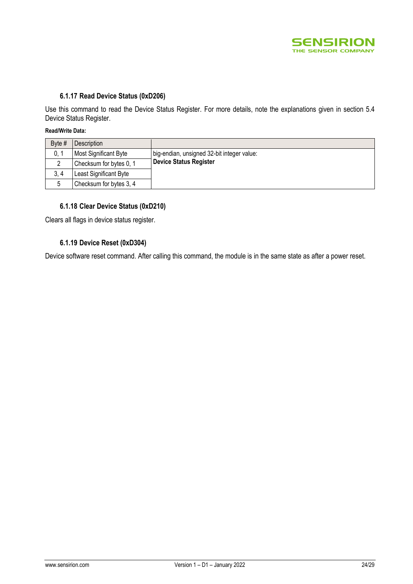

#### **6.1.17 Read Device Status (0xD206)**

Use this command to read the Device Status Register. For more details, note the explanations given in section [5.4](#page-13-1) [Device Status Register.](#page-13-1)

#### **Read/Write Data:**

| Byte # | Description             |                                            |
|--------|-------------------------|--------------------------------------------|
| 0. 1   | Most Significant Byte   | big-endian, unsigned 32-bit integer value: |
|        | Checksum for bytes 0, 1 | <b>Device Status Register</b>              |
| 3.4    | Least Significant Byte  |                                            |
|        | Checksum for bytes 3, 4 |                                            |

#### **6.1.18 Clear Device Status (0xD210)**

Clears all flags in device status register.

#### **6.1.19 Device Reset (0xD304)**

Device software reset command. After calling this command, the module is in the same state as after a power reset.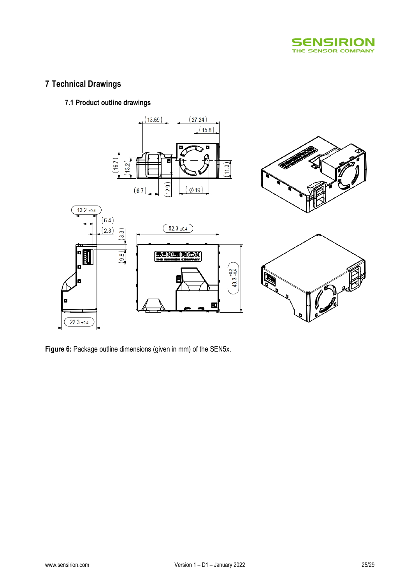

# **7 Technical Drawings**

### **7.1 Product outline drawings**



**Figure 6:** Package outline dimensions (given in mm) of the SEN5x.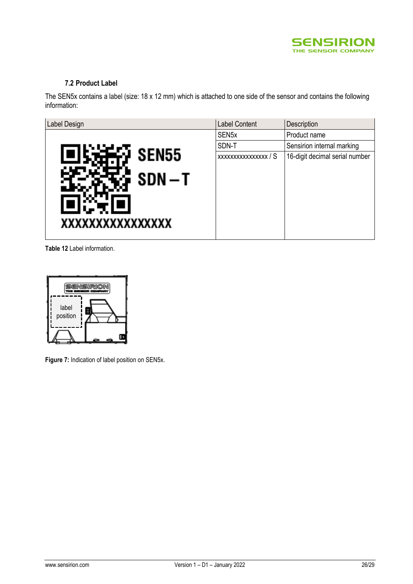

### **7.2 Product Label**

The SEN5x contains a label (size: 18 x 12 mm) which is attached to one side of the sensor and contains the following information:

| Label Design      | <b>Label Content</b> | Description                    |
|-------------------|----------------------|--------------------------------|
|                   | SEN <sub>5</sub> x   | Product name                   |
|                   | SDN-T                | Sensirion internal marking     |
| SEN <sub>55</sub> | XXXXXXXXXXXXXXX / S  | 16-digit decimal serial number |
| $SDN-T$           |                      |                                |
| XXXXXXXXXXXXXXX   |                      |                                |

**Table 12** Label information.



**Figure 7:** Indication of label position on SEN5x.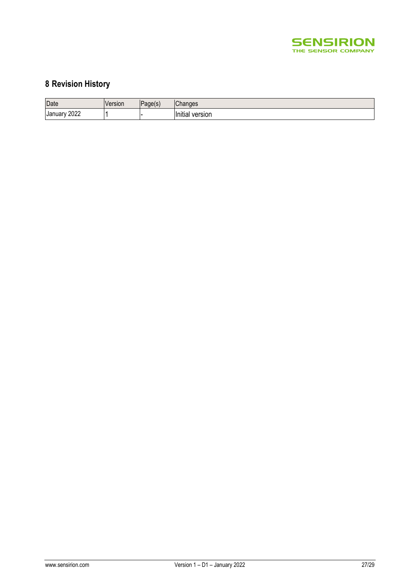

# **8 Revision History**

| Date                   | /ersion | Page(s<br>۰. | $\sim$<br>Changes              |
|------------------------|---------|--------------|--------------------------------|
| 2022<br><b>January</b> |         |              | .<br>version<br><b>Initial</b> |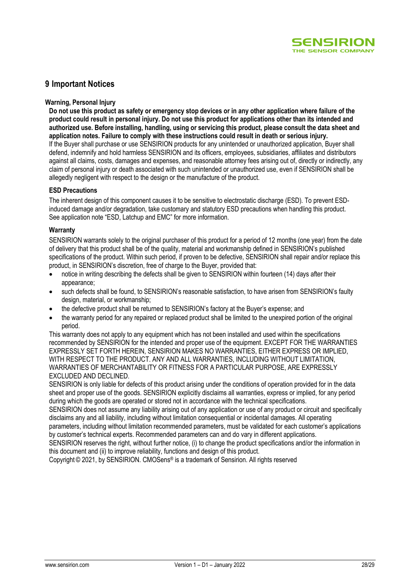

## **9 Important Notices**

#### **Warning, Personal Injury**

**Do not use this product as safety or emergency stop devices or in any other application where failure of the product could result in personal injury. Do not use this product for applications other than its intended and authorized use. Before installing, handling, using or servicing this product, please consult the data sheet and application notes. Failure to comply with these instructions could result in death or serious injury.** If the Buyer shall purchase or use SENSIRION products for any unintended or unauthorized application, Buyer shall defend, indemnify and hold harmless SENSIRION and its officers, employees, subsidiaries, affiliates and distributors against all claims, costs, damages and expenses, and reasonable attorney fees arising out of, directly or indirectly, any claim of personal injury or death associated with such unintended or unauthorized use, even if SENSIRION shall be allegedly negligent with respect to the design or the manufacture of the product.

#### **ESD Precautions**

The inherent design of this component causes it to be sensitive to electrostatic discharge (ESD). To prevent ESDinduced damage and/or degradation, take customary and statutory ESD precautions when handling this product. See application note "ESD, Latchup and EMC" for more information.

#### **Warranty**

SENSIRION warrants solely to the original purchaser of this product for a period of 12 months (one year) from the date of delivery that this product shall be of the quality, material and workmanship defined in SENSIRION's published specifications of the product. Within such period, if proven to be defective, SENSIRION shall repair and/or replace this product, in SENSIRION's discretion, free of charge to the Buyer, provided that:

- notice in writing describing the defects shall be given to SENSIRION within fourteen (14) days after their appearance;
- such defects shall be found, to SENSIRION's reasonable satisfaction, to have arisen from SENSIRION's faulty design, material, or workmanship;
- the defective product shall be returned to SENSIRION's factory at the Buyer's expense; and
- the warranty period for any repaired or replaced product shall be limited to the unexpired portion of the original period.

This warranty does not apply to any equipment which has not been installed and used within the specifications recommended by SENSIRION for the intended and proper use of the equipment. EXCEPT FOR THE WARRANTIES EXPRESSLY SET FORTH HEREIN, SENSIRION MAKES NO WARRANTIES, EITHER EXPRESS OR IMPLIED, WITH RESPECT TO THE PRODUCT. ANY AND ALL WARRANTIES, INCLUDING WITHOUT LIMITATION, WARRANTIES OF MERCHANTABILITY OR FITNESS FOR A PARTICULAR PURPOSE, ARE EXPRESSLY EXCLUDED AND DECLINED.

SENSIRION is only liable for defects of this product arising under the conditions of operation provided for in the data sheet and proper use of the goods. SENSIRION explicitly disclaims all warranties, express or implied, for any period during which the goods are operated or stored not in accordance with the technical specifications.

SENSIRION does not assume any liability arising out of any application or use of any product or circuit and specifically disclaims any and all liability, including without limitation consequential or incidental damages. All operating parameters, including without limitation recommended parameters, must be validated for each customer's applications

by customer's technical experts. Recommended parameters can and do vary in different applications. SENSIRION reserves the right, without further notice, (i) to change the product specifications and/or the information in this document and (ii) to improve reliability, functions and design of this product.

Copyright© 2021, by SENSIRION. CMOSens® is a trademark of Sensirion. All rights reserved